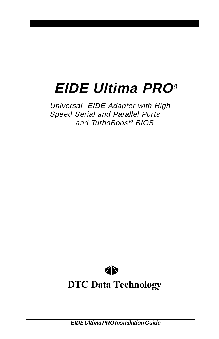## **EIDE Ultima PRO**<sup>Ô</sup>

Universal EIDE Adapter with High Speed Serial and Parallel Ports and TurboBoost<sup>ô</sup> BIOS



DTC Data Technology

**EIDE Ultima PRO Installation Guide**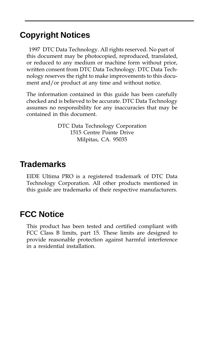## **Copyright Notices**

2 or reduced to any medium or machine form without prior, 1997 DTC Data Technology. All rights reserved. No part of this document may be photocopied, reproduced, translated, written consent from DTC Data Technology. DTC Data Technology reserves the right to make improvements to this document and/or product at any time and without notice.

The information contained in this guide has been carefully checked and is believed to be accurate. DTC Data Technology assumes no responsibility for any inaccuracies that may be contained in this document.

> DTC Data Technology Corporation 1515 Centre Pointe Drive Milpitas, CA. 95035

## **Trademarks**

EIDE Ultima PRO is a registered trademark of DTC Data Technology Corporation. All other products mentioned in this guide are trademarks of their respective manufacturers.

## **FCC Notice**

This product has been tested and certified compliant with FCC Class B limits, part 15. These limits are designed to provide reasonable protection against harmful interference in a residential installation.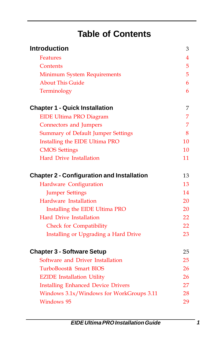|  | <b>Table of Contents</b> |
|--|--------------------------|
|  |                          |

| <b>Introduction</b>                               | 3  |
|---------------------------------------------------|----|
| <b>Features</b>                                   | 4  |
| Contents                                          | 5  |
| Minimum System Requirements                       | 5  |
| <b>About This Guide</b>                           | 6  |
| Terminology                                       | 6  |
| <b>Chapter 1 - Quick Installation</b>             | 7  |
| EIDE Ultima PRO Diagram                           | 7  |
| <b>Connectors and Jumpers</b>                     | 7  |
| <b>Summary of Default Jumper Settings</b>         | 8  |
| Installing the EIDE Ultima PRO                    | 10 |
| <b>CMOS Settings</b>                              | 10 |
| <b>Hard Drive Installation</b>                    | 11 |
| <b>Chapter 2 - Configuration and Installation</b> | 13 |
| Hardware Configuration                            | 13 |
| <b>Jumper Settings</b>                            | 14 |
| Hardware Installation                             | 20 |
| Installing the EIDE Ultima PRO                    | 20 |
| Hard Drive Installation                           | 22 |
| <b>Check for Compatibility</b>                    | 22 |
| Installing or Upgrading a Hard Drive              | 23 |
| <b>Chapter 3 - Software Setup</b>                 | 25 |
| Software and Driver Installation                  | 25 |
| TurboBoostä Smart BIOS                            | 26 |
| <b>EZIDE</b> Installation Utility                 | 26 |
| <b>Installing Enhanced Device Drivers</b>         | 27 |
| Windows 3.1x/Windows for WorkGroups 3.11          | 28 |
| <b>Windows 95</b>                                 | 29 |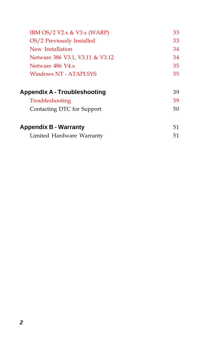| IBM $OS/2$ V2.x & V3.x (WARP)       | 33 |
|-------------------------------------|----|
| OS/2 Previously Installed           | 33 |
| New Installation                    | 34 |
| Netware 386 V3.1, V3.11 & V3.12     | 34 |
| Netware $486$ V4.x                  | 35 |
| Windows NT - ATAPLSYS               | 35 |
| <b>Appendix A - Troubleshooting</b> | 39 |
| Troubleshooting                     | 39 |
| Contacting DTC for Support          | 50 |
| <b>Appendix B - Warranty</b>        | 51 |
| Limited Hardware Warranty           | 51 |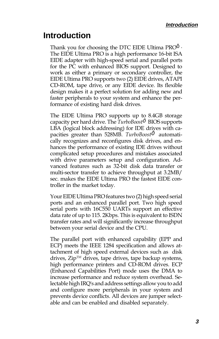#### **Introduction**

## <span id="page-4-0"></span>**Introduction**

Thank you for choosing the DTC EIDE Ultima PRO<sup>Ô</sup> . The EIDE Ultima PRO is a high performance 16-bit ISA EIDE adapter with high-speed serial and parallel ports for the PC with enhanced BIOS support. Designed to work as either a primary or secondary controller, the EIDE Ultima PRO supports two (2) EIDE drives, ATAPI CD-ROM, tape drive, or any EIDE device. Its flexible design makes it a perfect solution for adding new and faster peripherals to your system and enhance the performance of existing hard disk drives.

The EIDE Ultima PRO supports up to 8.4GB storage capacity per hard drive. The  $TurboBoost^{\hat{O}}$  BIOS supports LBA (logical block addressing) for IDE drives with capacities greater than 528MB. TurboBoost $\hat{O}$  automatically recognizes and reconfigures disk drives, and enhances the performance of existing IDE drives without complicated setup procedures and mistakes associated with drive parameters setup and configuration. Advanced features such as 32-bit disk data transfer or multi-sector transfer to achieve throughput at 3.2MB/ sec. makes the EIDE Ultima PRO the fastest EIDE controller in the market today.

Your EIDE Ultima PRO features two (2) high speed serial ports and an enhanced parallel port. Two high speed serial ports with 16C550 UARTs support an effective data rate of up to 115. 2Kbps. This is equivalent to ISDN transfer rates and will significantly increase throughput between your serial device and the CPU.

The parallel port with enhanced capability (EPP and ECP) meets the IEEE 1284 specification and allows attachment of high speed external devices such as disk drives,  $\text{Zip}^{\text{TM}}$  drives, tape drives, tape backup systems, high performance printers and CD-ROM drives. ECP (Enhanced Capabilities Port) mode uses the DMA to increase performance and reduce system overhead. Selectable high IRQ's and address settings allow you to add and configure more peripherals in your system and prevents device conflicts. All devices are jumper selectable and can be enabled and disabled separately.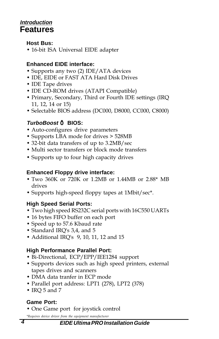#### <span id="page-5-0"></span>**Features Introduction**

#### **Host Bus:**

16-bit ISA Universal EIDE adapter

#### **Enhanced EIDE interface:**

- Supports any two (2) IDE/ATA devices
- IDE, EIDE or FAST ATA Hard Disk Drives
- IDE Tape drives
- IDE CD-ROM drives (ATAPI Compatible)
- Primary, Secondary, Third or Fourth IDE settings (IRQ 11, 12, 14 or 15)
- Selectable BIOS address (DC000, D8000, CC000, C8000)

#### **TurboBoost** Ô **BIOS:**

- Auto-configures drive parameters
- Supports LBA mode for drives > 528MB
- 32-bit data transfers of up to 3.2MB/sec
- Multi sector transfers or block mode transfers
- Supports up to four high capacity drives

#### **Enhanced Floppy drive interface:**

- Two 360K or 720K or 1.2MB or 1.44MB or 2.88\* MB drives
- Supports high-speed floppy tapes at 1Mbit/sec\*.

#### **High Speed Serial Ports:**

- Two high speed RS232C serial ports with 16C550 UARTs
- 16 bytes FIFO buffer on each port
- Speed up to 57.6 Kbaud rate
- Standard IRQ's 3,4, and 5
- Additional IRQ's 9, 10, 11, 12 and 15

#### **High Performance Parallel Port:**

- Bi-Directional, ECP/EPP/IEE1284 support
- Supports devices such as high speed printers, external tapes drives and scanners
- DMA data tranfer in ECP mode
- Parallel port address: LPT1 (278), LPT2 (378)
- IRQ 5 and 7

#### **Game Port:**

• One Game port for joystick control

\*Requires device driver from the equipment manufacturer

**4**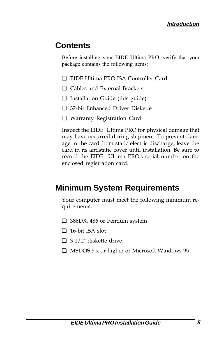## <span id="page-6-0"></span>**Contents**

Before installing your EIDE Ultima PRO, verify that your package contains the following items:

- ❏ EIDE Ultima PRO ISA Controller Card
- ❏ Cables and External Brackets
- ❏ Installation Guide (this guide)
- ❏ 32-bit Enhanced Driver Diskette
- ❏ Warranty Registration Card

Inspect the EIDE Ultima PRO for physical damage that may have occurred during shipment. To prevent damage to the card from static electric discharge, leave the card in its antistatic cover until installation. Be sure to record the EIDE Ultima PRO's serial number on the enclosed registration card.

## **Minimum System Requirements**

Your computer must meet the following minimum requirements:

- ❏ 386DX, 486 or Pentium system
- ❏ 16-bit ISA slot
- ❏ 3 1/2" diskette drive
- ❏ MSDOS 5.x or higher or Microsoft Windows 95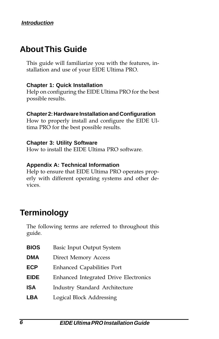## <span id="page-7-0"></span>**About This Guide**

This guide will familiarize you with the features, installation and use of your EIDE Ultima PRO.

#### **Chapter 1: Quick Installation**

Help on configuring the EIDE Ultima PRO for the best possible results.

#### **Chapter 2: Hardware Installation and Configuration**

How to properly install and configure the EIDE Ultima PRO for the best possible results.

#### **Chapter 3: Utility Software**

How to install the EIDE Ultima PRO software.

#### **Appendix A: Technical Information**

Help to ensure that EIDE Ultima PRO operates properly with different operating systems and other devices.

## **Terminology**

The following terms are referred to throughout this guide.

| <b>BIOS</b> | Basic Input Output System             |
|-------------|---------------------------------------|
| <b>DMA</b>  | <b>Direct Memory Access</b>           |
| <b>ECP</b>  | <b>Enhanced Capabilities Port</b>     |
| <b>EIDE</b> | Enhanced Integrated Drive Electronics |
| <b>ISA</b>  | Industry Standard Architecture        |
| LBA         | Logical Block Addressing              |
|             |                                       |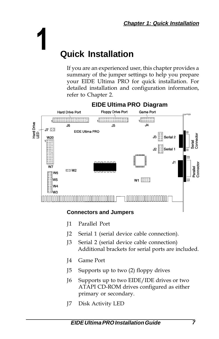## **Quick Installation**

<span id="page-8-0"></span>1

If you are an experienced user, this chapter provides a summary of the jumper settings to help you prepare your EIDE Ultima PRO for quick installation. For detailed installation and configuration information, refer to Chapter 2.



#### **EIDE Ultima PRO Diagram**

#### **Connectors and Jumpers**

- J1 Parallel Port
- J2 Serial 1 (serial device cable connection).
- J3 Serial 2 (serial device cable connection) Additional brackets for serial ports are included.
- J4 Game Port
- J5 Supports up to two (2) floppy drives
- J6 Supports up to two EIDE/IDE drives or two ATAPI CD-ROM drives configured as either primary or secondary.
- J7 Disk Activity LED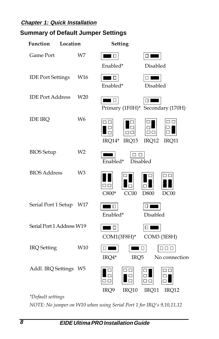#### <span id="page-9-0"></span>**Chapter 1: Quick Installation**

#### **Summary of Default Jumper Settings**

| Function<br>Location      |                 | Setting                                |                                                  |
|---------------------------|-----------------|----------------------------------------|--------------------------------------------------|
| Game Port                 | W7              | $\Box$<br>Enabled*                     | $\Box$<br>Disabled                               |
| <b>IDE Port Settings</b>  | W <sub>16</sub> | <b>Service</b> Co<br>Enabled*          | $\Box$<br>Disabled                               |
| <b>IDE Port Address</b>   | W20             | $\blacksquare$                         | ПΙ<br>Primary (1F0H)* Secondary (170H)           |
| <b>IDE IRQ</b>            | W <sub>6</sub>  | $\Box$ $\Box$<br>IRQ14*<br>IRQ15       | $\Box$ $\Box$<br>$\Box$ $\Box$<br>IRQ12<br>IRQ11 |
| <b>BIOS</b> Setup         | W <sub>2</sub>  | Enabled*                               | $\Box$ $\Box$<br>Disabled                        |
| <b>BIOS Address</b>       | W <sub>3</sub>  | $\square$<br>C800*<br>CC <sub>00</sub> | □□<br>D800<br>DC <sub>00</sub>                   |
| Serial Port 1 Setup W17   |                 | Enabled*                               | <b>Disabled</b>                                  |
| Serial Port 1 Address W19 |                 | $\blacksquare$<br>$COM1(3F8H)^*$       | $\Box$<br>COM3 (3E8H)                            |
| <b>IRQ</b> Setting        | W10             | □<br>IRQ4*                             | $\Box$ $\Box$<br>IRQ5<br>No connection           |
| Addl. IRQ Settings W5     |                 | コロ                                     | ⊓⊺<br>□<br>ПГ                                    |
| *Default settings         |                 | IRQ10<br>IRQ9                          | IRQ11<br>IRQ12                                   |

NOTE: No jumper on W10 when using Serial Port 1 for IRQ's 9,10,11,12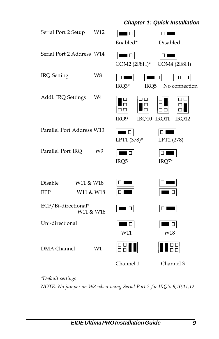|                                           |                |                | <b>Chapter 1: Quick Installation</b> |                      |
|-------------------------------------------|----------------|----------------|--------------------------------------|----------------------|
| Serial Port 2 Setup W12                   |                | $\blacksquare$ | $\Box$                               |                      |
|                                           |                | Enabled*       | Disabled                             |                      |
| Serial Port 2 Address W14                 |                | $\blacksquare$ | □Ⅰ                                   |                      |
|                                           |                | COM2 (2F8H)*   |                                      | <b>COM4 (2E8H)</b>   |
| <b>IRQ</b> Setting                        | W <sub>8</sub> | ⊓∣             | ╹□                                   | $\Box$ $\Box$ $\Box$ |
|                                           |                | IRQ3*          | IRQ5                                 | No connection        |
| Addl. IRQ Settings                        | W4             |                | □ □                                  |                      |
|                                           |                | $\square$      |                                      |                      |
|                                           |                | IRQ9           | IRQ10 IRQ11                          | IRQ12                |
| Parallel Port Address W13                 |                | ╹╙             |                                      |                      |
|                                           |                | LPT1 (378)*    | LPT2 (278)                           |                      |
| Parallel Port IRQ                         | W9             | H O            | $\Box$                               |                      |
|                                           |                | IRQ5           | IRQ7*                                |                      |
|                                           |                |                |                                      |                      |
| <b>Disable</b><br>W11 & W18<br><b>EPP</b> | W11 & W18      | ⊔∣             |                                      |                      |
|                                           |                |                |                                      |                      |
| ECP/Bi-directional*                       | W11 & W18      | ▉              | □∣                                   |                      |
| Uni-directional                           |                | a la           |                                      |                      |
|                                           |                | W11            | W18                                  |                      |
| <b>DMA</b> Channel                        | W1             |                |                                      |                      |
|                                           |                | Channel 1      |                                      | Channel 3            |

\*Default settings

NOTE: No jumper on W8 when using Serial Port 2 for IRQ's 9,10,11,12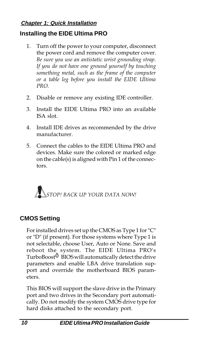#### <span id="page-11-0"></span>**Chapter 1: Quick Installation**

#### **Installing the EIDE Ultima PRO**

- 1. Turn off the power to your computer, disconnect the power cord and remove the computer cover. Be sure you use an antistatic wrist grounding strap. If you do not have one ground yourself by touching something metal, such as the frame of the computer or a table leg before you install the EIDE Ultima PRO.
- 2. Disable or remove any existing IDE controller.
- 3. Install the EIDE Ultima PRO into an available ISA slot.
- 4. Install IDE drives as recommended by the drive manufacturer.
- 5. Connect the cables to the EIDE Ultima PRO and devices. Make sure the colored or marked edge on the cable(s) is aligned with Pin 1 of the connectors.



#### **CMOS Setting**

For installed drives set up the CMOS as Type 1 for "C" or "D" (if present). For those systems where Type 1 is not selectable, choose User, Auto or None. Save and reboot the system. The EIDE Ultima PRO's TurboBoost<sup>Ô</sup> BIOS will automatically detect the drive parameters and enable LBA drive translation support and override the motherboard BIOS parameters.

This BIOS will support the slave drive in the Primary port and two drives in the Secondary port automatically. Do not modify the system CMOS drive type for hard disks attached to the secondary port.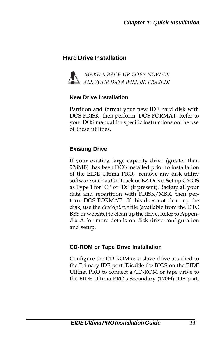#### <span id="page-12-0"></span>**Hard Drive Installation**



#### **New Drive Installation**

Partition and format your new IDE hard disk with DOS FDISK, then perform DOS FORMAT. Refer to your DOS manual for specific instructions on the use of these utilities.

#### **Existing Drive**

If your existing large capacity drive (greater than 528MB) has been DOS installed prior to installation of the EIDE Ultima PRO, remove any disk utility software such as On Track or EZ Drive. Set up CMOS as Type 1 for "C:" or "D:" (if present). Backup all your data and repartition with FDISK/MBR, then perform DOS FORMAT. If this does not clean up the disk, use the dtcdelpt.exe file (available from the DTC BBS or website) to clean up the drive. Refer to Appendix A for more details on disk drive configuration and setup.

#### **CD-ROM or Tape Drive Installation**

Configure the CD-ROM as a slave drive attached to the Primary IDE port. Disable the BIOS on the EIDE Ultima PRO to connect a CD-ROM or tape drive to the EIDE Ultima PRO's Secondary (170H) IDE port.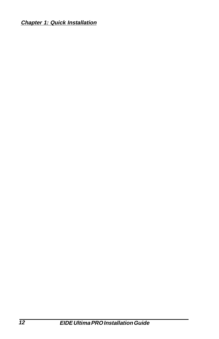**Chapter 1: Quick Installation**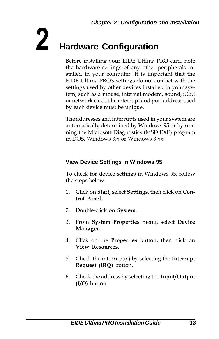# <span id="page-14-0"></span>2 **Hardware Configuration**

Before installing your EIDE Ultima PRO card, note the hardware settings of any other peripherals installed in your computer. It is important that the EIDE Ultima PRO's settings do not conflict with the settings used by other devices installed in your system, such as a mouse, internal modem, sound, SCSI or network card. The interrupt and port address used by each device must be unique.

The addresses and interrupts used in your system are automatically determined by Windows 95 or by running the Microsoft Diagnostics (MSD.EXE) program in DOS, Windows 3.x or Windows 3.xx.

#### **View Device Settings in Windows 95**

To check for device settings in Windows 95, follow the steps below:

- 1. Click on Start, select Settings, then click on Control Panel.
- 2. Double-click on System.
- 3. From System Properties menu, select Device Manager.
- 4. Click on the Properties button, then click on View Resources.
- 5. Check the interrupt(s) by selecting the Interrupt Request (IRQ) button.
- 6. Check the address by selecting the Input/Output (I/O) button.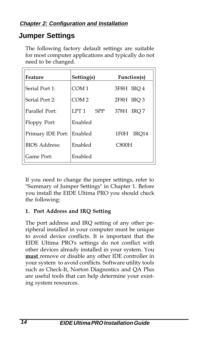## **Jumper Settings**

The following factory default settings are suitable for most computer applications and typically do not need to be changed.

| Feature           | Setting(s)          | Function(s) |
|-------------------|---------------------|-------------|
| Serial Port 1:    | COM <sub>1</sub>    | 3F8H IRO 4  |
| Serial Port 2:    | COM <sub>2</sub>    | 2F8H IRO 3  |
| Parallel Port:    | LPT 1<br><b>SPP</b> | 378H IRO 7  |
| Floppy Port:      | Enabled             |             |
| Primary IDE Port: | Enabled             | 1F0H IRO14  |
| BIOS Address:     | Enabled             | C800H       |
| Game Port:        | Enabled             |             |

If you need to change the jumper settings, refer to "Summary of Jumper Settings" in Chapter 1. Before you install the EIDE Ultima PRO you should check the following:

#### 1. Port Address and IRQ Setting

The port address and IRQ setting of any other peripheral installed in your computer must be unique to avoid device conflicts. It is important that the EIDE Ultima PRO's settings do not conflict with other devices already installed in your system. You must remove or disable any other IDE controller in your system to avoid conflicts. Software utility tools such as Check-It, Norton Diagnostics and QA Plus are useful tools that can help determine your existing system resources.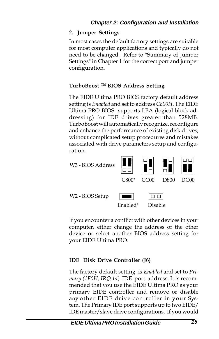#### <span id="page-16-0"></span>2. Jumper Settings

In most cases the default factory settings are suitable for most computer applications and typically do not need to be changed. Refer to "Summary of Jumper Settings" in Chapter 1 for the correct port and jumper configuration.

#### TurboBoost TM BIOS Address Setting

The EIDE Ultima PRO BIOS factory default address setting is *Enabled* and set to address C800H. The EIDE Ultima PRO BIOS supports LBA (logical block addressing) for IDE drives greater than 528MB. TurboBoost will automatically recognize, reconfigure and enhance the performance of existing disk drives, without complicated setup procedures and mistakes associated with drive parameters setup and configuration.



If you encounter a conflict with other devices in your computer, either change the address of the other device or select another BIOS address setting for your EIDE Ultima PRO.

#### IDE Disk Drive Controller (J6)

The factory default setting is Enabled and set to Primary (1F0H, IRQ 14) IDE port address. It is recommended that you use the EIDE Ultima PRO as your primary EIDE controller and remove or disable any other EIDE drive controller in your System. The Primary IDE port supports up to two EIDE/ IDE master/slave drive configurations. If you would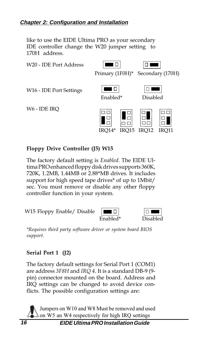like to use the EIDE Ultima PRO as your secondary IDE controller change the W20 jumper setting to 170H address.



#### Floppy Drive Controller (J5) W15

The factory default setting is Enabled. The EIDE Ultima PRO enhanced floppy disk drives supports 360K, 720K, 1.2MB, 1.44MB or 2.88\*MB drives. It includes support for high speed tape drives\* of up to 1Mbit/ sec. You must remove or disable any other floppy controller function in your system.

W15 Floppy Enable/ Disable





\*Requires third party software driver or system board BIOS support.

#### Serial Port 1 (J2)

The factory default settings for Serial Port 1 (COM1) are address 3F8H and IRQ 4. It is a standard DB-9 (9 pin) connector mounted on the board. Address and IRQ settings can be changed to avoid device conflicts. The possible configuration settings are:

Jumpers on W10 and W8 Must be removed and used on W5 an W4 respectively for high IRQ settings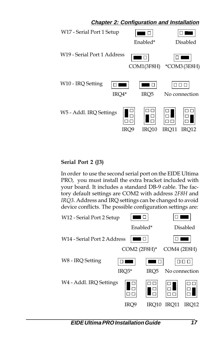

#### Serial Port 2 (13)

In order to use the second serial port on the EIDE Ultima PRO, you must install the extra bracket included with your board. It includes a standard DB-9 cable. The factory default settings are COM2 with address 2F8H and IRQ3. Address and IRQ settings can be changed to avoid device conflicts. The possible configuration settings are:



**EIDE Ultima PRO Installation Guide**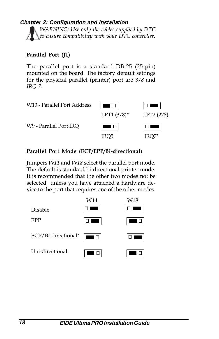WARNING: Use only the cables supplied by DTC to ensure compatibility with your DTC controller.

#### Parallel Port (J1)

The parallel port is a standard DB-25 (25-pin) mounted on the board. The factory default settings for the physical parallel (printer) port are 378 and IRQ 7.



#### Parallel Port Mode (ECP/EPP/Bi-directional)

Jumpers W11 and W18 select the parallel port mode. The default is standard bi-directional printer mode. It is recommended that the other two modes not be selected unless you have attached a hardware device to the port that requires one of the other modes.

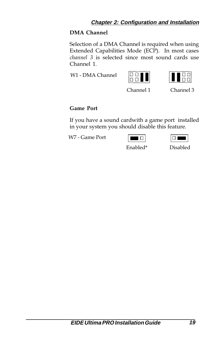#### DMA Channel

Selection of a DMA Channel is required when using Extended Capabilities Mode (ECP). In most cases channel 3 is selected since most sound cards use Channel 1.

W1 - DMA Channel





Channel 1 Channel 3

#### Game Port

If you have a sound cardwith a game port installed in your system you should disable this feature.

W7 - Game Port

| а |  |
|---|--|



Disabled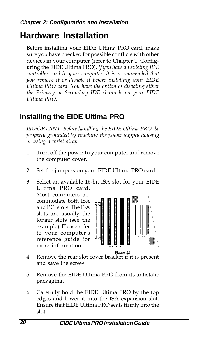## <span id="page-21-0"></span>**Hardware Installation**

Before installing your EIDE Ultima PRO card, make sure you have checked for possible conflicts with other devices in your computer (refer to Chapter 1: Configuring the EIDE Ultima PRO). If you have an existing IDE controller card in your computer, it is recommended that you remove it or disable it before installing your EIDE Ultima PRO card. You have the option of disabling either the Primary or Secondary IDE channels on your EIDE Ultima PRO.

## **Installing the EIDE Ultima PRO**

IMPORTANT: Before handling the EIDE Ultima PRO, be properly grounded by touching the power supply housing or using a wrist strap.

- 1. Turn off the power to your computer and remove the computer cover.
- 2. Set the jumpers on your EIDE Ultima PRO card.
- 3. Select an available 16-bit ISA slot for your EIDE Ultima PRO card.

Most computers accommodate both ISA and PCI slots. The ISA slots are usually the longer slots (see the example). Please refer to your computer's reference guide for more information.



- 4. Remove the rear slot cover bracket if it is present and save the screw. Figure 2.1
- 5. Remove the EIDE Ultima PRO from its antistatic packaging.
- 6. Carefully hold the EIDE Ultima PRO by the top edges and lower it into the ISA expansion slot. Ensure that EIDE Ultima PRO seats firmly into the slot.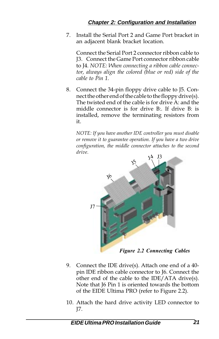7. Install the Serial Port 2 and Game Port bracket in an adjacent blank bracket location.

Connect the Serial Port 2 connector ribbon cable to J3. Connect the Game Port connector ribbon cable to J4. NOTE: When connecting a ribbon cable connector, always align the colored (blue or red) side of the cable to Pin 1.

8. Connect the 34-pin floppy drive cable to J5. Connect the other end of the cable to the floppy drive(s). The twisted end of the cable is for drive A: and the middle connector is for drive B:. If drive B: is installed, remove the terminating resistors from it.

NOTE: If you have another IDE controller you must disable or remove it to guarantee operation. If you have a two drive configuration, the middle connector attaches to the second drive.



Figure 2.2 Connecting Cables

- 9. Connect the IDE drive(s). Attach one end of a 40 pin IDE ribbon cable connector to J6. Connect the other end of the cable to the IDE/ATA drive(s). Note that J6 Pin 1 is oriented towards the bottom of the EIDE Ultima PRO (refer to Figure 2.2).
- 10. Attach the hard drive activity LED connector to J7.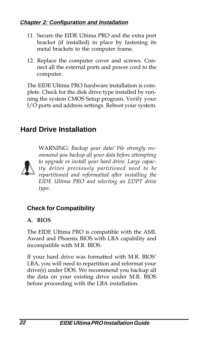- 11. Secure the EIDE Ultima PRO and the extra port bracket (if installed) in place by fastening its metal brackets to the computer frame.
- 12. Replace the computer cover and screws. Connect all the external ports and power cord to the computer.

The EIDE Ultima PRO hardware installation is complete. Check for the disk drive type installed by running the system CMOS Setup program. Verify your I/O ports and address settings. Reboot your system.

## <span id="page-23-0"></span>**Hard Drive Installation**

WARNING: Backup your data! We strongly recommend you backup all your data before attempting to upgrade or install your hard drive. Large capacity drives previously partitioned need to be repartitioned and reformatted after installing the EIDE Ultima PRO and selecting an EDPT drive type.

#### **Check for Compatibility**

#### A. BIOS

The EIDE Ultima PRO is compatible with the AMI, Award and Phoenix BIOS with LBA capability and incompatible with M.R. BIOS.

If your hard drive was formatted with M.R. BIOS LBA, you will need to repartition and reformat your drive(s) under DOS. We recommend you backup all the data on your existing drive under M.R. BIOS before proceeding with the LBA installation.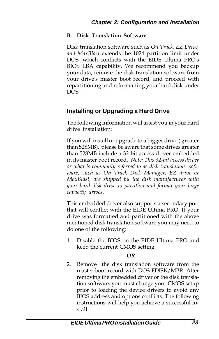#### B. Disk Translation Software

Disk translation software such as On Track, EZ Drive, and MaxBlast extends the 1024 partition limit under DOS, which conflicts with the EIDE Ultima PRO's BIOS LBA capability. We recommend you backup your data, remove the disk translation software from your drive's master boot record, and proceed with repartitioning and reformatting your hard disk under DOS.

#### <span id="page-24-0"></span>**Installing or Upgrading a Hard Drive**

The following information will assist you in your hard drive installation:

If you will install or upgrade to a bigger drive ( greater than 528MB), please be aware that some drives greater than 528MB include a 32-bit access driver embedded in its master boot record. Note: This 32-bit access driver or what is commonly referred to as disk translation software, such as On Track Disk Manager, EZ drive or MaxBlast, are shipped by the disk manufacturer with your hard disk drive to partition and format your large capacity drives.

This embedded driver also supports a secondary port that will conflict with the EIDE Ultima PRO. If your drive was formatted and partitioned with the above mentioned disk translation software you may need to do one of the following:

1. Disable the BIOS on the EIDE Ultima PRO and keep the current CMOS setting.

#### OR

2. Remove the disk translation software from the master boot record with DOS FDISK/MBR. After removing the embedded driver or the disk translation software, you must change your CMOS setup prior to loading the device drivers to avoid any BIOS address and options conflicts. The following instructions will help you achieve a successful install: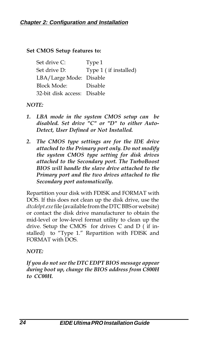#### Set CMOS Setup features to:

| Set drive C:                | Type 1                |
|-----------------------------|-----------------------|
| Set drive D:                | Type 1 (if installed) |
| LBA/Large Mode: Disable     |                       |
| <b>Block Mode:</b>          | <b>Disable</b>        |
| 32-bit disk access: Disable |                       |

NOTE:

- 1. LBA mode in the system CMOS setup can be disabled. Set drive "C" or "D" to either Auto-Detect, User Defined or Not Installed.
- 2. The CMOS type settings are for the IDE drive attached to the Primary port only. Do not modify the system CMOS type setting for disk drives attached to the Secondary port. The TurboBoost BIOS will handle the slave drive attached to the Primary port and the two drives attached to the Secondary port automatically.

Repartition your disk with FDISK and FORMAT with DOS. If this does not clean up the disk drive, use the dtcdelpt.exe file (available from the DTC BBS or website) or contact the disk drive manufacturer to obtain the mid-level or low-level format utility to clean up the drive. Setup the CMOS for drives C and D ( if installed) to "Type  $1$ ." Repartition with FDISK and FORMAT with DOS.

#### NOTE:

If you do not see the DTC EDPT BIOS message appear during boot up, change the BIOS address from C800H to CC00H.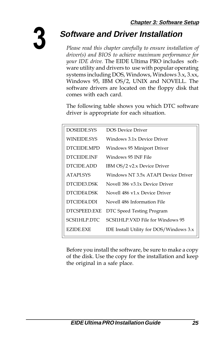## <span id="page-26-0"></span>3 **Software and Driver Installation**

Please read this chapter carefully to ensure installation of driver(s) and BIOS to achieve maximum performance for your IDE drive. The EIDE Ultima PRO includes software utility and drivers to use with popular operating systems including DOS, Windows, Windows 3.x, 3.xx, Windows 95, IBM OS/2, UNIX and NOVELL. The software drivers are located on the floppy disk that comes with each card.

The following table shows you which DTC software driver is appropriate for each situation.

| DOSEIDE.SYS        | <b>DOS Device Driver</b>                |
|--------------------|-----------------------------------------|
| <b>WINEIDE SYS</b> | Windows 3.1x Device Driver              |
| DTCEIDE.MPD        | Windows 95 Miniport Driver              |
| DTCEIDE.INF        | Windows 95 INF File                     |
| DTCIDE ADD         | IBM OS/2 v2.x Device Driver             |
| ATAPLSYS           | Windows NT 3.5x ATAPI Device Driver     |
| DTCIDE3.DSK        | Novell 386 v3.1x Device Driver          |
| DTCIDE4 DSK        | Novell 486 v1 x Device Driver           |
| DTCIDE4.DDI        | Novell 486 Information File             |
| DTCSPEED.EXE       | DTC Speed Testing Program               |
| SCSI1HLP.DTC       | SCSI1HLP.VXD File for Windows 95        |
| <b>FZIDE.EXE</b>   | IDE Install Utility for DOS/Windows 3.x |

Before you install the software, be sure to make a copy of the disk. Use the copy for the installation and keep the original in a safe place.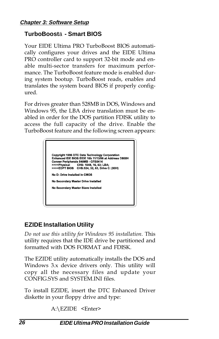#### <span id="page-27-0"></span>**TurboBoost**ä **- Smart BIOS**

Your EIDE Ultima PRO TurboBoost BIOS automatically configures your drives and the EIDE Ultima PRO controller card to support 32-bit mode and enable multi-sector transfers for maximum performance. The TurboBoost feature mode is enabled during system bootup. TurboBoost reads, enables and translates the system board BIOS if properly configured.

For drives greater than 528MB in DOS, Windows and Windows 95, the LBA drive translation must be enabled in order for the DOS partition FDISK utility to access the full capacity of the drive. Enable the TurboBoost feature and the following screen appears:



#### **EZIDE Installation Utility**

Do not use this utility for Windows 95 installation. This utility requires that the IDE drive be partitioned and formatted with DOS FORMAT and FDISK.

The EZIDE utility automatically installs the DOS and Windows 3.x device drivers only. This utility will copy all the necessary files and update your CONFIG.SYS and SYSTEM.INI files.

To install EZIDE, insert the DTC Enhanced Driver diskette in your floppy drive and type:

A:\EZIDE <Enter>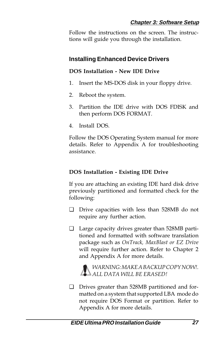#### **Chapter 3: Software Setup**

Follow the instructions on the screen. The instructions will guide you through the installation.

#### <span id="page-28-0"></span>**Installing Enhanced Device Drivers**

#### DOS Installation - New IDE Drive

- 1. Insert the MS-DOS disk in your floppy drive.
- 2. Reboot the system.
- 3. Partition the IDE drive with DOS FDISK and then perform DOS FORMAT.
- 4. Install DOS.

Follow the DOS Operating System manual for more details. Refer to Appendix A for troubleshooting assistance.

#### DOS Installation - Existing IDE Drive

If you are attaching an existing IDE hard disk drive previously partitioned and formatted check for the following:

- ❏ Drive capacities with less than 528MB do not require any further action.
- ❏ Large capacity drives greater than 528MB partitioned and formatted with software translation package such as OnTrack, MaxBlast or EZ Drive will require further action. Refer to Chapter 2 and Appendix A for more details.



WARNING: MAKE A BACKUP COPY NOW!. ALL DATA WILL BE ERASED!

❏ Drives greater than 528MB partitioned and formatted on a system that supported LBA mode do not require DOS Format or partition. Refer to Appendix A for more details.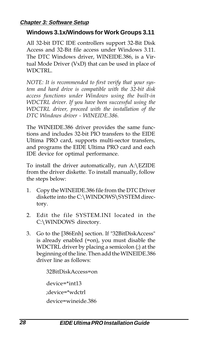#### <span id="page-29-0"></span>**Chapter 3: Software Setup**

#### **Windows 3.1x/Windows for Work Groups 3.11**

All 32-bit DTC IDE controllers support 32-Bit Disk Access and 32-Bit file access under Windows 3.11. The DTC Windows driver, WINEIDE.386, is a Virtual Mode Driver (VxD) that can be used in place of WDCTRL.

NOTE: It is recommended to first verify that your system and hard drive is compatible with the 32-bit disk access functions under Windows using the built-in WDCTRL driver. If you have been successful using the WDCTRL driver, proceed with the installation of the DTC Windows driver - WINEIDE.386.

The WINEIDE.386 driver provides the same functions and includes 32-bit PIO transfers to the EIDE Ultima PRO card, supports multi-sector transfers, and programs the EIDE Ultima PRO card and each IDE device for optimal performance.

To install the driver automatically, run A:\EZIDE from the driver diskette. To install manually, follow the steps below:

- 1. Copy the WINEIDE.386 file from the DTC Driver diskette into the C:\WINDOWS\SYSTEM directory.
- 2. Edit the file SYSTEM.INI located in the C:\WINDOWS directory.
- 3. Go to the [386Enh] section. If "32BitDiskAccess" is already enabled (=on), you must disable the WDCTRL driver by placing a semicolon (;) at the beginning of the line. Then add the WINEIDE.386 driver line as follows:

32BitDiskAccess=on device=\*int13 ;device=\*wdctrl device=wineide.386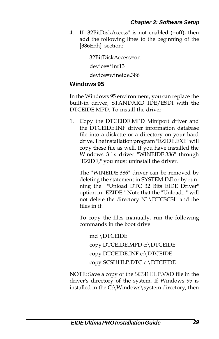4. If "32BitDiskAccess" is not enabled (=off), then add the following lines to the beginning of the [386Enh] section:

> 32BitDiskAccess=on device=\*int13 device=wineide.386

#### <span id="page-30-0"></span>**Windows 95**

In the Windows 95 environment, you can replace the built-in driver, STANDARD IDE/ESDI with the DTCEIDE MPD. To install the driver:

1. Copy the DTCEIDE.MPD Miniport driver and the DTCEIDE.INF driver information database file into a diskette or a directory on your hard drive. The installation program "EZIDE.EXE" will copy these file as well. If you have installed the Windows 3.1x driver "WINEIDE.386" through "EZIDE," you must uninstall the driver.

The "WINEIDE.386" driver can be removed by deleting the statement in SYSTEM.INI or by running the "Unload DTC 32 Bits EIDE Driver" option in "EZIDE." Note that the "Unload..." will not delete the directory "C:\DTCSCSI" and the files in it.

To copy the files manually, run the following commands in the boot drive:

md \DTCEIDE copy DTCEIDE.MPD c:\DTCEIDE copy DTCEIDE.INF c:\DTCEIDE copy SCSI1HLP.DTC c:\DTCEIDE

NOTE: Save a copy of the SCSI1HLP.VXD file in the driver's directory of the system. If Windows 95 is installed in the  $C:\W$ indows\system directory, then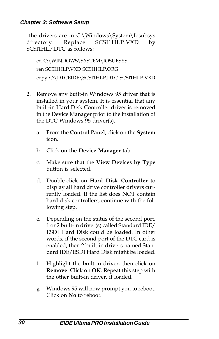#### **Chapter 3: Software Setup**

 the drivers are in C:\Windows\System\Iosubsys directory. Replace SCSI1HLP.VXD by SCSI1HLP.DTC as follows:

cd C:\WINDOWS\SYSTEM\IOSUBSYS ren SCSI1HLP.VXD SCSI1HLP.ORG copy C:\DTCEIDE\SCSI1HLP.DTC SCSI1HLP.VXD

- 2. Remove any built-in Windows 95 driver that is installed in your system. It is essential that any built-in Hard Disk Controller driver is removed in the Device Manager prior to the installation of the DTC Windows 95 driver(s).
	- a. From the Control Panel, click on the System icon.
	- b. Click on the Device Manager tab.
	- c. Make sure that the View Devices by Type button is selected.
	- d. Double-click on Hard Disk Controller to display all hard drive controller drivers currently loaded. If the list does NOT contain hard disk controllers, continue with the following step.
	- e. Depending on the status of the second port, 1 or 2 built-in driver(s) called Standard IDE/ ESDI Hard Disk could be loaded. In other words, if the second port of the DTC card is enabled, then 2 built-in drivers named Standard IDE/ESDI Hard Disk might be loaded.
	- f. Highlight the built-in driver, then click on Remove. Click on OK. Repeat this step with the other built-in driver, if loaded.
	- g. Windows 95 will now prompt you to reboot. Click on No to reboot.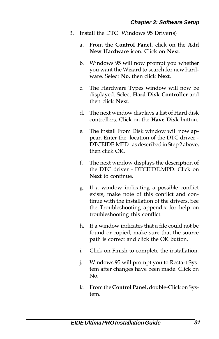- 3. Install the DTC Windows 95 Driver(s)
	- a. From the Control Panel, click on the Add New Hardware icon. Click on Next.
	- b. Windows 95 will now prompt you whether you want the Wizard to search for new hardware. Select No, then click Next.
	- c. The Hardware Types window will now be displayed. Select Hard Disk Controller and then click Next.
	- d. The next window displays a list of Hard disk controllers. Click on the Have Disk button.
	- e. The Install From Disk window will now appear. Enter the location of the DTC driver - DTCEIDE.MPD - as described in Step 2 above, then click OK.
	- f. The next window displays the description of the DTC driver - DTCEIDE.MPD. Click on Next to continue.
	- g. If a window indicating a possible conflict exists, make note of this conflict and continue with the installation of the drivers. See the Troubleshooting appendix for help on troubleshooting this conflict.
	- h. If a window indicates that a file could not be found or copied, make sure that the source path is correct and click the OK button.
	- i. Click on Finish to complete the installation.
	- j. Windows 95 will prompt you to Restart System after changes have been made. Click on No.
	- k. From the Control Panel, double-Click on System.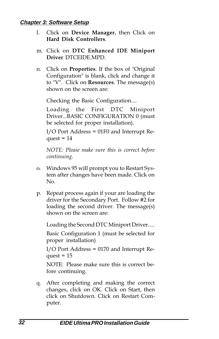#### **Chapter 3: Software Setup**

- l. Click on Device Manager, then Click on Hard Disk Controllers.
- m. Click on DTC Enhanced IDE Miniport Driver DTCEIDE.MPD.
- n. Click on Properties. If the box of "Original Configuration" is blank, click and change it to "V". Click on Resources. The message(s) shown on the screen are:

Checking the Basic Configuration....

Loading the First DTC Miniport Driver...BASIC CONFIGURATION 0 (must be selected for proper installation).

I/O Port Address = 01F0 and Interrupt Request  $= 14$ 

NOTE: Please make sure this is correct before continuing.

- o. Windows 95 will prompt you to Restart System after changes have been made. Click on No.
- p. Repeat process again if your are loading the driver for the Secondary Port. Follow #2 for loading the second driver. The message(s) shown on the screen are:

Loading the Second DTC Miniport Driver.....

Basic Configuration 1 (must be selected for proper installation)

I/O Port Address = 0170 and Interrupt Request  $= 15$ 

NOTE: Please make sure this is correct before continuing.

q. After completing and making the correct changes, click on OK. Click on Start, then click on Shutdown. Click on Restart Computer.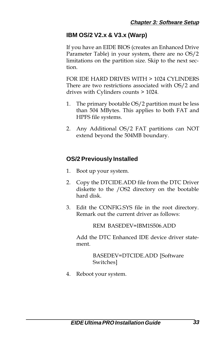#### <span id="page-34-0"></span>**IBM OS/2 V2.x & V3.x (Warp)**

If you have an EIDE BIOS (creates an Enhanced Drive Parameter Table) in your system, there are no OS/2 limitations on the partition size. Skip to the next section.

FOR IDE HARD DRIVES WITH > 1024 CYLINDERS There are two restrictions associated with OS/2 and drives with Cylinders counts > 1024.

- 1. The primary bootable OS/2 partition must be less than 504 MBytes. This applies to both FAT and HPFS file systems.
- 2. Any Additional OS/2 FAT partitions can NOT extend beyond the 504MB boundary.

#### **OS/2 Previously Installed**

- 1. Boot up your system.
- 2. Copy the DTCIDE.ADD file from the DTC Driver diskette to the /OS2 directory on the bootable hard disk.
- 3. Edit the CONFIG.SYS file in the root directory. Remark out the current driver as follows:

REM BASEDEV=IBM1S506.ADD

Add the DTC Enhanced IDE device driver statement.

> BASEDEV=DTCIDE.ADD [Software Switches]

4. Reboot your system.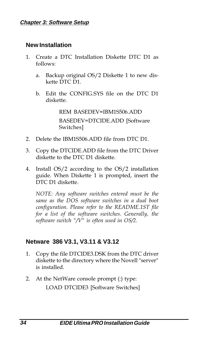#### <span id="page-35-0"></span>**New Installation**

- 1. Create a DTC Installation Diskette DTC D1 as follows:
	- a. Backup original OS/2 Diskette 1 to new diskette DTC D1.
	- b. Edit the CONFIG.SYS file on the DTC D1 diskette.

REM BASEDEV=IBM1S506.ADD BASEDEV=DTCIDE.ADD [Software Switches]

- 2. Delete the IBM1S506.ADD file from DTC D1.
- 3. Copy the DTCIDE.ADD file from the DTC Driver diskette to the DTC D1 diskette.
- 4. Install OS/2 according to the OS/2 installation guide. When Diskette 1 is prompted, insert the DTC D1 diskette.

<span id="page-35-1"></span>NOTE: Any software switches entered must be the same as the DOS software switches in a dual boot configuration. Please refer to the README.1ST file for a list of the software switches. Generally, the software switch "/V" is often used in OS/2.

#### **Netware 386 V3.1, V3.11 & V3.12**

- 1. Copy the file DTCIDE3.DSK from the DTC driver diskette to the directory where the Novell "server" is installed.
- 2. At the NetWare console prompt (:) type: LOAD DTCIDE3 [Software Switches]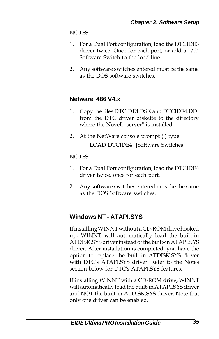NOTES:

- 1. For a Dual Port configuration, load the DTCIDE3 driver twice. Once for each port, or add a "/2" Software Switch to the load line.
- 2. Any software switches entered must be the same as the DOS software switches.

#### <span id="page-36-0"></span>**Netware 486 V4.x**

- 1. Copy the files DTCIDE4.DSK and DTCIDE4.DDI from the DTC driver diskette to the directory where the Novell "server" is installed.
- 2. At the NetWare console prompt (:) type: LOAD DTCIDE4 [Software Switches]

NOTES:

- 1. For a Dual Port configuration, load the DTCIDE4 driver twice, once for each port.
- 2. Any software switches entered must be the same as the DOS Software switches.

### **Windows NT - ATAPI.SYS**

If installing WINNT without a CD-ROM drive hooked up, WINNT will automatically load the built-in ATDISK.SYS driver instead of the built-in ATAPI.SYS driver. After installation is completed, you have the option to replace the built-in ATDISK.SYS driver with DTC's ATAPI.SYS driver. Refer to the Notes section below for DTC's ATAPI.SYS features.

If installing WINNT with a CD-ROM drive, WINNT will automatically load the built-in ATAPI.SYS driver and NOT the built-in ATDISK.SYS driver. Note that only one driver can be enabled.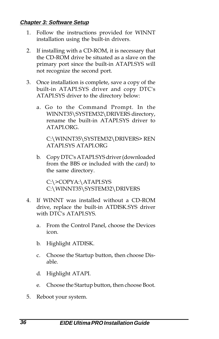#### **Chapter 3: Software Setup**

- 1. Follow the instructions provided for WINNT installation using the built-in drivers.
- 2. If installing with a CD-ROM, it is necessary that the CD-ROM drive be situated as a slave on the primary port since the built-in ATAPI.SYS will not recognize the second port.
- 3. Once installation is complete, save a copy of the built-in ATAPI.SYS driver and copy DTC's ATAPI.SYS driver to the directory below:
	- a. Go to the Command Prompt. In the WINNT35\SYSTEM32\DRIVERS directory, rename the built-in ATAPI.SYS driver to ATAPI.ORG.

C:\WINNT35\SYSTEM32\DRIVERS> REN ATAPI.SYS ATAPI.ORG

b. Copy DTC's ATAPI.SYS driver (downloaded from the BBS or included with the card) to the same directory.

C:\>COPYA:\ATAPI.SYS C:\WINNT35\SYSTEM32\DRIVERS

- 4. If WINNT was installed without a CD-ROM drive, replace the built-in ATDISK.SYS driver with DTC's ATAPI.SYS.
	- a. From the Control Panel, choose the Devices icon.
	- b. Highlight ATDISK.
	- c. Choose the Startup button, then choose Disable.
	- d. Highlight ATAPI.
	- e. Choose the Startup button, then choose Boot.
- 5. Reboot your system.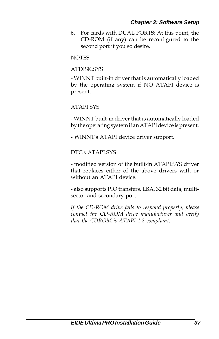6. For cards with DUAL PORTS: At this point, the CD-ROM (if any) can be reconfigured to the second port if you so desire.

NOTES:

ATDISK.SYS

- WINNT built-in driver that is automatically loaded by the operating system if NO ATAPI device is present.

ATAPI.SYS

- WINNT built-in driver that is automatically loaded by the operating system if an ATAPI device is present.

- WINNT's ATAPI device driver support.

DTC's ATAPI.SYS

- modified version of the built-in ATAPI.SYS driver that replaces either of the above drivers with or without an ATAPI device.

- also supports PIO transfers, LBA, 32 bit data, multisector and secondary port.

If the CD-ROM drive fails to respond properly, please contact the CD-ROM drive manufacturer and verify that the CDROM is ATAPI 1.2 compliant.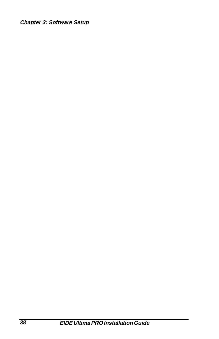**Chapter 3: Software Setup**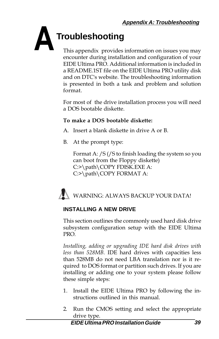# <span id="page-40-0"></span>A **Troubleshooting**

This appendix provides information on issues you may encounter during installation and configuration of your EIDE Ultima PRO. Additional information is included in a README.1ST file on the EIDE Ultima PRO utility disk and on DTC's website. The troubleshooting information is presented in both a task and problem and solution format.

For most of the drive installation process you will need a DOS bootable diskette.

#### To make a DOS bootable diskette:

A. Insert a blank diskette in drive A or B.

B. At the prompt type:

Format A: /S (/S to finish loading the system so you can boot from the Floppy diskette) C:>\path\COPY FDISK.EXE A: C:>\path\COPY FORMAT A:



#### **INSTALLING A NEW DRIVE**

This section outlines the commonly used hard disk drive subsystem configuration setup with the EIDE Ultima PRO.

Installing, adding or upgrading IDE hard disk drives with less than 528MB. IDE hard drives with capacities less than 528MB do not need LBA translation nor is it required to DOS format or partition such drives. If you are installing or adding one to your system please follow these simple steps:

- 1. Install the EIDE Ultima PRO by following the instructions outlined in this manual.
- 2. Run the CMOS setting and select the appropriate drive type.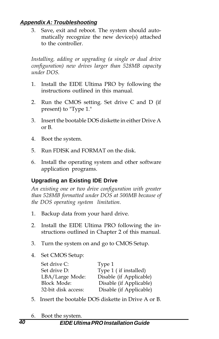#### **Appendix A: Troubleshooting**

3. Save, exit and reboot. The system should automatically recognize the new device(s) attached to the controller.

Installing, adding or upgrading (a single or dual drive configuration) new drives larger than 528MB capacity under DOS.

- 1. Install the EIDE Ultima PRO by following the instructions outlined in this manual.
- 2. Run the CMOS setting. Set drive C and D (if present) to "Type 1."
- 3. Insert the bootable DOS diskette in either Drive A or B.
- 4. Boot the system.
- 5. Run FDISK and FORMAT on the disk.
- 6. Install the operating system and other software application programs.

#### **Upgrading an Existing IDE Drive**

An existing one or two drive configuration with greater than 528MB formatted under DOS at 500MB because of the DOS operating system limitation.

- 1. Backup data from your hard drive.
- 2. Install the EIDE Ultima PRO following the instructions outlined in Chapter 2 of this manual.
- 3. Turn the system on and go to CMOS Setup.
- 4. Set CMOS Setup:

| Set drive C:        | Type 1                  |
|---------------------|-------------------------|
| Set drive D:        | Type 1 (if installed)   |
| LBA/Large Mode:     | Disable (if Applicable) |
| <b>Block Mode:</b>  | Disable (if Applicable) |
| 32-bit disk access: | Disable (if Applicable) |

- 5. Insert the bootable DOS diskette in Drive A or B.
- 6. Boot the system.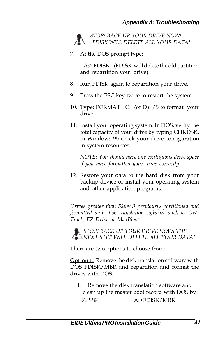

STOP! BACK UP YOUR DRIVE NOW! FDISK WILL DELETE ALL YOUR DATA!

7. At the DOS prompt type:

A:> FDISK (FDISK will delete the old partition and repartition your drive).

- 8. Run FDISK again to repartition your drive.
- 9. Press the ESC key twice to restart the system.
- 10. Type: FORMAT C: (or D): /S to format your drive.
- 11. Install your operating system. In DOS, verify the total capacity of your drive by typing CHKDSK. In Windows 95 check your drive configuration in system resources.

NOTE: You should have one contiguous drive space if you have formatted your drive correctly.

12. Restore your data to the hard disk from your backup device or install your operating system and other application programs.

Drives greater than 528MB previously partitioned and formatted with disk translation software such as ON-Track, EZ Drive or MaxBlast.

STOP! BACK UP YOUR DRIVE NOW! THE NEXT STEP WILL DELETE ALL YOUR DATA!

There are two options to choose from:

Option 1: Remove the disk translation software with DOS FDISK/MBR and repartition and format the drives with DOS.

1. Remove the disk translation software and clean up the master boot record with DOS by typing: A:>FDISK/MBR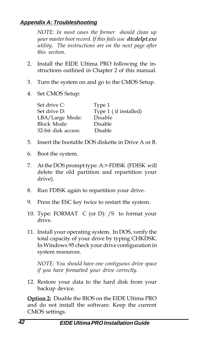#### **Appendix A: Troubleshooting**

NOTE: In most cases the former should clean up your master boot record. If this fails use **dtcdelpt.exe** utility. The instructions are on the next page after this section.

- 2. Install the EIDE Ultima PRO following the instructions outlined in Chapter 2 of this manual.
- 3. Turn the system on and go to the CMOS Setup.
- 4. Set CMOS Setup:

| Type 1                |
|-----------------------|
| Type 1 (if installed) |
| Disable               |
| Disable               |
| <b>Disable</b>        |
|                       |

- 5. Insert the bootable DOS diskette in Drive A or B.
- 6. Boot the system.
- 7. At the DOS prompt type: A:> FDISK (FDISK will delete the old partition and repartition your drive).
- 8. Run FDISK again to repartition your drive.
- 9. Press the ESC key twice to restart the system.
- 10. Type: FORMAT C (or D): /S to format your drive.
- 11. Install your operating system. In DOS, verify the total capacity of your drive by typing CHKDSK. In Windows 95 check your drive configuration in system resources.

NOTE: You should have one contiguous drive space if you have formatted your drive correctly.

12. Restore your data to the hard disk from your backup device.

**Option 2:** Disable the BIOS on the EIDE Ultima PRO and do not install the software. Keep the current CMOS settings.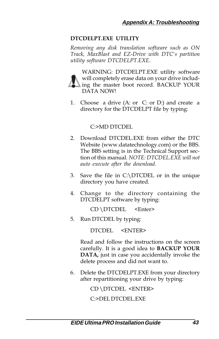#### DTCDELPT.EXE UTILITY

Removing any disk translation software such as ON Track, MaxBlast and EZ-Drive with DTC's partition utility software DTCDELPT.EXE.

WARNING: DTCDELPT.EXE utility software will completely erase data on your drive including the master boot record. BACKUP YOUR DATA NOW!

1. Choose a drive (A: or C: or D:) and create a directory for the DTCDELPT file by typing:

#### C:>MD DTCDEL

- 2. Download DTCDEL.EXE from either the DTC Website (www.datatechnology.com) or the BBS. The BBS setting is in the Technical Support section of this manual. NOTE: DTCDEL.EXE will not auto execute after the download.
- 3. Save the file in C:\DTCDEL or in the unique directory you have created.
- 4. Change to the directory containing the DTCDELPT software by typing:

CD \DTCDEL <Enter>

5. Run DTCDEL by typing:

DTCDEL <ENTER>

Read and follow the instructions on the screen carefully. It is a good idea to BACKUP YOUR DATA, just in case you accidentally invoke the delete process and did not want to.

6. Delete the DTCDELPT.EXE from your directory after repartitioning your drive by typing:

CD \DTCDEL <ENTER>

C:>DEL DTCDEL.EXE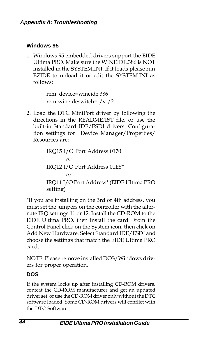#### **Windows 95**

1. Windows 95 embedded drivers support the EIDE Ultima PRO. Make sure the WINEIDE.386 is NOT installed in the SYSTEM.INI. If it loads please run EZIDE to unload it or edit the SYSTEM.INI as follows:

> rem device=wineide.386 rem wineideswitch= /v /2

2. Load the DTC MiniPort driver by following the directions in the README.1ST file, or use the built-in Standard IDE/ESDI drivers. Configuration settings for Device Manager/Properties/ Resources are:

> IRQ15 I/O Port Address 0170 or IRQ12 I/O Port Address 01E8\* or IRQ11 I/O Port Address\* (EIDE Ultima PRO setting)

\*If you are installing on the 3rd or 4th address, you must set the jumpers on the controller with the alternate IRQ settings 11 or 12. Install the CD-ROM to the EIDE Ultima PRO, then install the card. From the Control Panel click on the System icon, then click on Add New Hardware. Select Standard IDE/ESDI and choose the settings that match the EIDE Ultima PRO card.

NOTE: Please remove installed DOS/Windows drivers for proper operation.

#### **DOS**

If the system locks up after installing CD-ROM drivers, contcat the CD-ROM manufacturer and get an updated driver set, or use the CD-ROM driver only without the DTC software loaded. Some CD-ROM drivers will conflict with the DTC Software.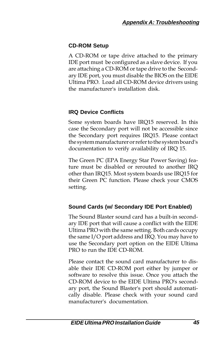#### **CD-ROM Setup**

A CD-ROM or tape drive attached to the primary IDE port must be configured as a slave device. If you are attaching a CD-ROM or tape drive to the Secondary IDE port, you must disable the BIOS on the EIDE Ultima PRO. Load all CD-ROM device drivers using the manufacturer's installation disk.

#### **IRQ Device Conflicts**

Some system boards have IRQ15 reserved. In this case the Secondary port will not be accessible since the Secondary port requires IRQ15. Please contact the system manufacturer or refer to the system board's documentation to verify availability of IRQ 15.

The Green PC (EPA Energy Star Power Saving) feature must be disabled or rerouted to another IRQ other than IRQ15. Most system boards use IRQ15 for their Green PC function. Please check your CMOS setting.

#### **Sound Cards (w/ Secondary IDE Port Enabled)**

The Sound Blaster sound card has a built-in secondary IDE port that will cause a conflict with the EIDE Ultima PRO with the same setting. Both cards occupy the same I/O port address and IRQ. You may have to use the Secondary port option on the EIDE Ultima PRO to run the IDE CD-ROM.

Please contact the sound card manufacturer to disable their IDE CD-ROM port either by jumper or software to resolve this issue. Once you attach the CD-ROM device to the EIDE Ultima PRO's secondary port, the Sound Blaster's port should automatically disable. Please check with your sound card manufacturer's documentation.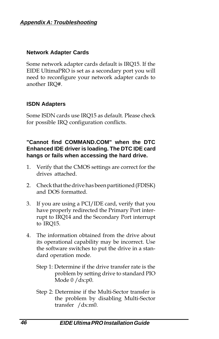#### **Network Adapter Cards**

Some network adapter cards default is IRQ15. If the EIDE UltimaPRO is set as a secondary port you will need to reconfigure your network adapter cards to another IRQ#.

#### **ISDN Adapters**

Some ISDN cards use IRQ15 as default. Please check for possible IRQ configuration conflicts.

#### **"Cannot find COMMAND.COM" when the DTC Enhanced IDE driver is loading. The DTC IDE card hangs or fails when accessing the hard drive.**

- 1. Verify that the CMOS settings are correct for the drives attached.
- 2. Check that the drive has been partitioned (FDISK) and DOS formatted.
- 3. If you are using a PCI/IDE card, verify that you have properly redirected the Primary Port interrupt to IRQ14 and the Secondary Port interrupt to IRQ15.
- 4. The information obtained from the drive about its operational capability may be incorrect. Use the software switches to put the drive in a standard operation mode.
	- Step 1: Determine if the drive transfer rate is the problem by setting drive to standard PIO Mode 0 /dx:p0.
	- Step 2: Determine if the Multi-Sector transfer is the problem by disabling Multi-Sector transfer /dx:m0.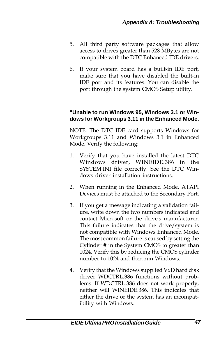- 5. All third party software packages that allow access to drives greater than 528 MBytes are not compatible with the DTC Enhanced IDE drivers.
- 6. If your system board has a built-in IDE port, make sure that you have disabled the built-in IDE port and its features. You can disable the port through the system CMOS Setup utility.

#### **"Unable to run Windows 95, Windows 3.1 or Windows for Workgroups 3.11 in the Enhanced Mode.**

NOTE: The DTC IDE card supports Windows for Workgroups 3.11 and Windows 3.1 in Enhanced Mode. Verify the following:

- 1. Verify that you have installed the latest DTC Windows driver, WINEIDE.386 in the SYSTEM.INI file correctly. See the DTC Windows driver installation instructions.
- 2. When running in the Enhanced Mode, ATAPI Devices must be attached to the Secondary Port.
- 3. If you get a message indicating a validation failure, write down the two numbers indicated and contact Microsoft or the drive's manufacturer. This failure indicates that the drive/system is not compatible with Windows Enhanced Mode. The most common failure is caused by setting the Cylinder # in the System CMOS to greater than 1024. Verify this by reducing the CMOS cylinder number to 1024 and then run Windows.
- 4. Verify that the Windows supplied VxD hard disk driver WDCTRL.386 functions without problems. If WDCTRL.386 does not work properly, neither will WINEIDE.386. This indicates that either the drive or the system has an incompatibility with Windows.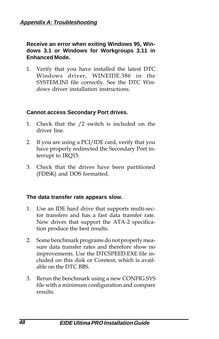**Receive an error when exiting Windows 95, Windows 3.1 or Windows for Workgroups 3.11 in Enhanced Mode.**

1. Verify that you have installed the latest DTC Windows driver, WINEIDE.386 in the SYSTEM.INI file correctly. See the DTC Windows driver installation instructions.

#### **Cannot access Secondary Port drives.**

- 1. Check that the /2 switch is included on the driver line.
- 2. If you are using a PCI/IDE card, verify that you have properly redirected the Secondary Port interrupt to IRQ15.
- 3. Check that the drives have been partitioned (FDISK) and DOS formatted.

#### **The data transfer rate appears slow.**

- 1. Use an IDE hard drive that supports multi-sector transfers and has a fast data transfer rate. New drives that support the ATA-2 specification produce the best results.
- 2. Some benchmark programs do not properly measure data transfer rates and therefore show no improvements. Use the DTCSPEED.EXE file included on this disk or Coretest, which is available on the DTC BBS.
- 3. Rerun the benchmark using a new CONFIG.SYS file with a minimum configuration and compare results.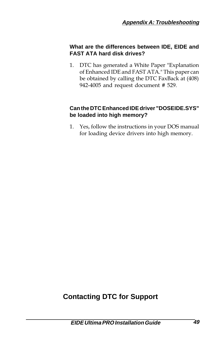#### **What are the differences between IDE, EIDE and FAST ATA hard disk drives?**

1. DTC has generated a White Paper "Explanation of Enhanced IDE and FAST ATA." This paper can be obtained by calling the DTC FaxBack at (408) 942-4005 and request document # 529.

#### **Can the DTC Enhanced IDE driver "DOSEIDE.SYS" be loaded into high memory?**

1. Yes, follow the instructions in your DOS manual for loading device drivers into high memory.

## **Contacting DTC for Support**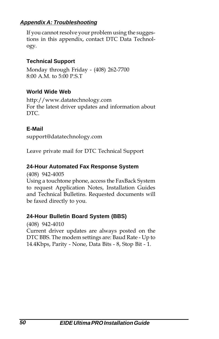#### **Appendix A: Troubleshooting**

If you cannot resolve your problem using the suggestions in this appendix, contact DTC Data Technology.

#### **Technical Support**

Monday through Friday - (408) 262-7700 8:00 A.M. to 5:00 P.S.T

#### **World Wide Web**

http://www.datatechnology.com For the latest driver updates and information about  $DTC$ 

#### **E-Mail**

support@datatechnology.com

Leave private mail for DTC Technical Support

#### **24-Hour Automated Fax Response System**

(408) 942-4005

Using a touchtone phone, access the FaxBack System to request Application Notes, Installation Guides and Technical Bulletins. Requested documents will be faxed directly to you.

#### **24-Hour Bulletin Board System (BBS)**

(408) 942-4010 Current driver updates are always posted on the DTC BBS. The modem settings are: Baud Rate - Up to 14.4Kbps, Parity - None, Data Bits - 8, Stop Bit - 1.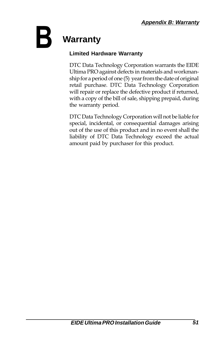## **Warranty** B

#### **Limited Hardware Warranty**

DTC Data Technology Corporation warrants the EIDE Ultima PRO against defects in materials and workmanship for a period of one (5) year from the date of original retail purchase. DTC Data Technology Corporation will repair or replace the defective product if returned, with a copy of the bill of sale, shipping prepaid, during the warranty period.

DTC Data Technology Corporation will not be liable for special, incidental, or consequential damages arising out of the use of this product and in no event shall the liability of DTC Data Technology exceed the actual amount paid by purchaser for this product.